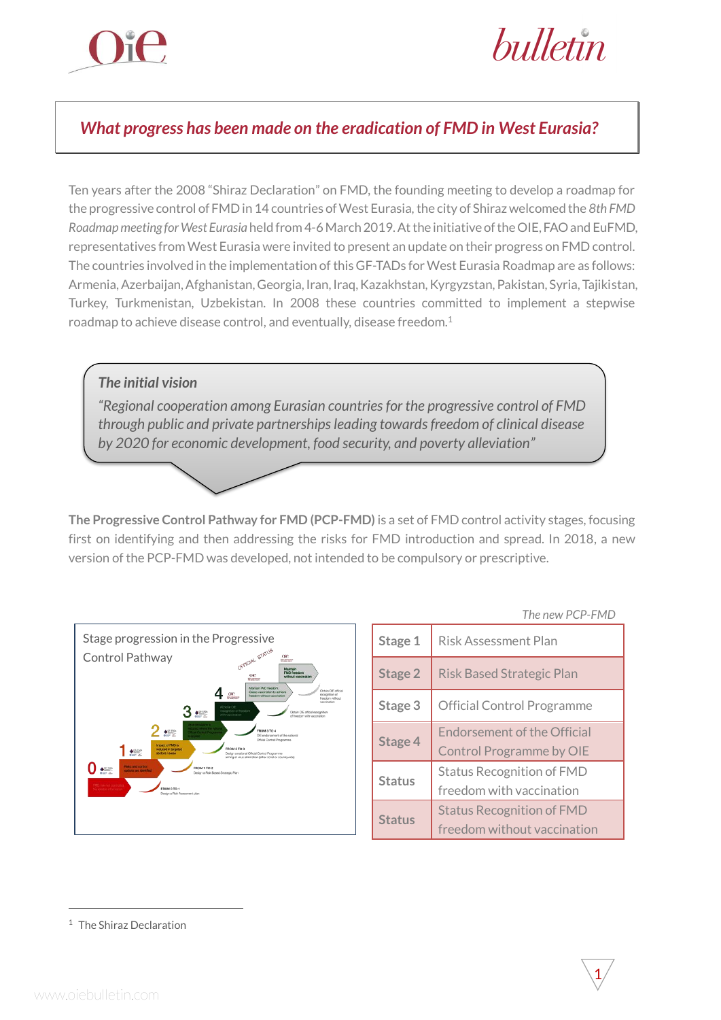

bulletin

## *What progress has been made on the eradication of FMD in West Eurasia?*

Ten years after the 2008 "Shiraz Declaration" on FMD, the founding meeting to develop a roadmap for the progressive control of FMD in 14 countries of West Eurasia,the city of Shiraz welcomed the *8th FMD Roadmap meeting for West Eurasia* held from 4-6 March 2019. At the initiative of the OIE, FAO and EuFMD, representatives from West Eurasia were invited to present an update on their progress on FMD control. The countries involved in the implementation of this GF-TADs for West Eurasia Roadmap are as follows: Armenia, Azerbaijan, Afghanistan, Georgia, Iran, Iraq, Kazakhstan, Kyrgyzstan, Pakistan, Syria, Tajikistan, Turkey, Turkmenistan, Uzbekistan. In 2008 these countries committed to implement a stepwise roadmap to achieve disease control, and eventually, disease freedom.<sup>1</sup>

## *The initial vision "Regional cooperation among Eurasian countries for the progressive control of FMD through public and private partnerships leading towards freedom of clinical disease by 2020 for economic development, food security, and poverty alleviation"*

**The Progressive Control Pathway for FMD (PCP-FMD)** is a set of FMD control activity stages, focusing first on identifying and then addressing the risks for FMD introduction and spread. In 2018, a new version of the PCP-FMD was developed, not intended to be compulsory or prescriptive.



|               | The new PCP-FMD                                                       |
|---------------|-----------------------------------------------------------------------|
| Stage 1       | <b>Risk Assessment Plan</b>                                           |
| Stage 2       | <b>Risk Based Strategic Plan</b>                                      |
| Stage 3       | Official Control Programme                                            |
| Stage 4       | <b>Endorsement of the Official</b><br><b>Control Programme by OIE</b> |
| <b>Status</b> | <b>Status Recognition of FMD</b><br>freedom with vaccination          |
| <b>Status</b> | <b>Status Recognition of FMD</b><br>freedom without vaccination       |

1

-

<sup>1</sup> The Shiraz Declaration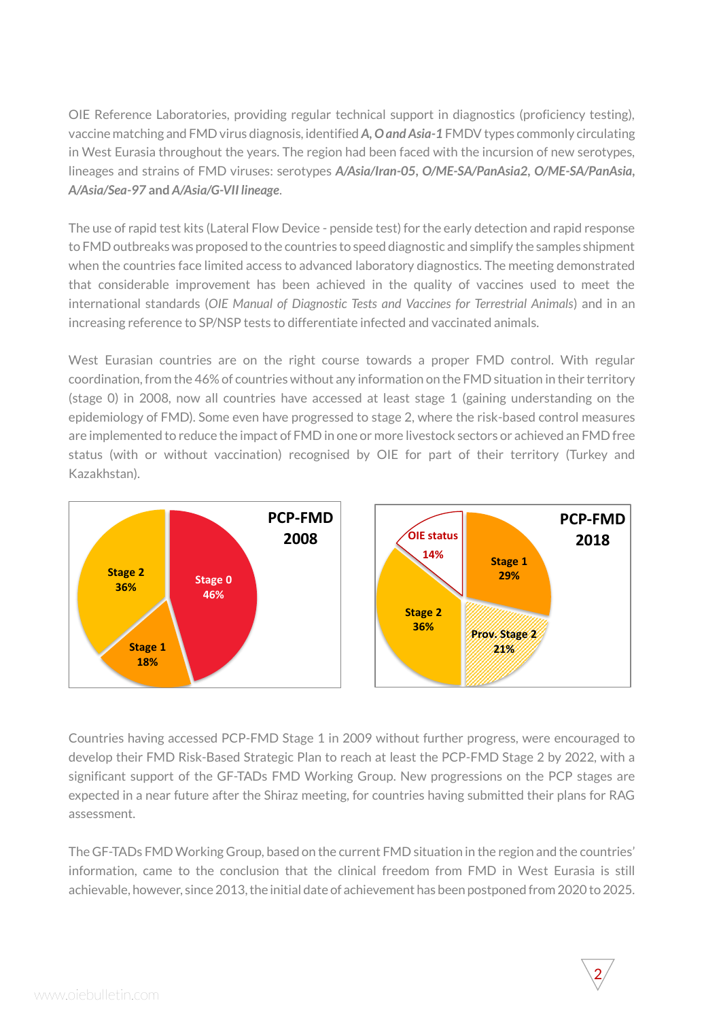OIE Reference Laboratories, providing regular technical support in diagnostics (proficiency testing), vaccine matching and FMD virus diagnosis, identified *A, O and Asia-1* FMDV types commonly circulating in West Eurasia throughout the years. The region had been faced with the incursion of new serotypes, lineages and strains of FMD viruses: serotypes *A/Asia/Iran-05***,** *O/ME-SA/PanAsia2***,** *O/ME-SA/PanAsia, A/Asia/Sea-97* **and** *A/Asia/G-VII lineage*.

The use of rapid test kits (Lateral Flow Device - penside test) for the early detection and rapid response to FMD outbreaks was proposed to the countries to speed diagnostic and simplify the samples shipment when the countries face limited access to advanced laboratory diagnostics. The meeting demonstrated that considerable improvement has been achieved in the quality of vaccines used to meet the international standards (*OIE Manual of Diagnostic Tests and Vaccines for Terrestrial Animals*) and in an increasing reference to SP/NSP tests to differentiate infected and vaccinated animals.

West Eurasian countries are on the right course towards a proper FMD control. With regular coordination, from the 46% of countries without any information on the FMD situation in their territory (stage 0) in 2008, now all countries have accessed at least stage 1 (gaining understanding on the epidemiology of FMD). Some even have progressed to stage 2, where the risk-based control measures are implemented to reduce the impact of FMD in one or more livestock sectors or achieved an FMD free status (with or without vaccination) recognised by OIE for part of their territory (Turkey and Kazakhstan).



Countries having accessed PCP-FMD Stage 1 in 2009 without further progress, were encouraged to develop their FMD Risk-Based Strategic Plan to reach at least the PCP-FMD Stage 2 by 2022, with a significant support of the GF-TADs FMD Working Group. New progressions on the PCP stages are expected in a near future after the Shiraz meeting, for countries having submitted their plans for RAG assessment.

The GF-TADs FMD Working Group, based on the current FMD situation in the region and the countries' information, came to the conclusion that the clinical freedom from FMD in West Eurasia is still achievable, however, since 2013, the initial date of achievement has been postponed from 2020 to 2025.